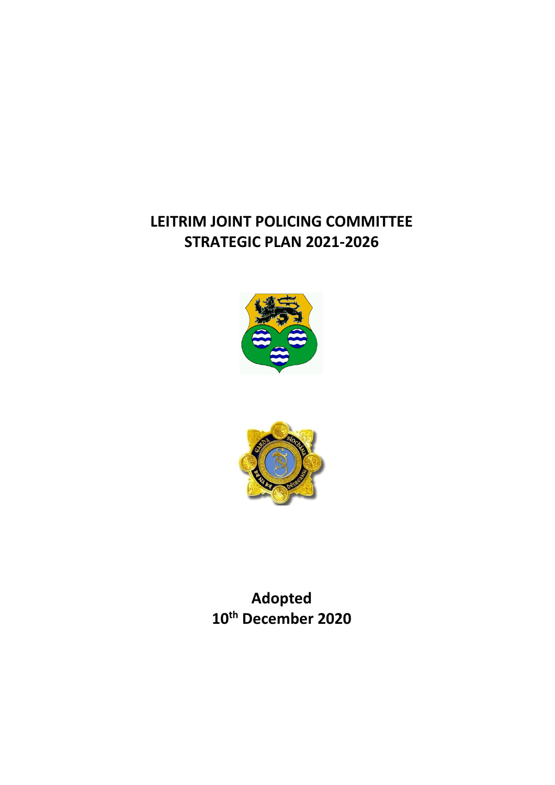# **LEITRIM JOINT POLICING COMMITTEE STRATEGIC PLAN 2021-2026**





**Adopted 10th December 2020**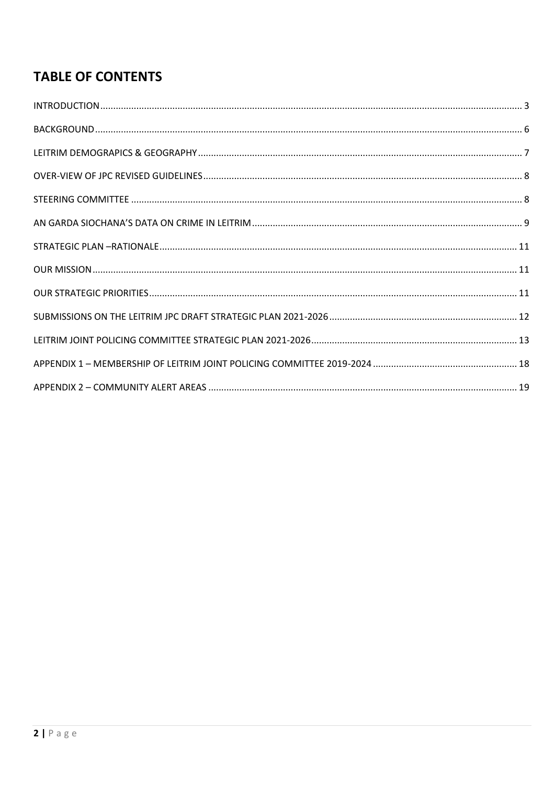# **TABLE OF CONTENTS**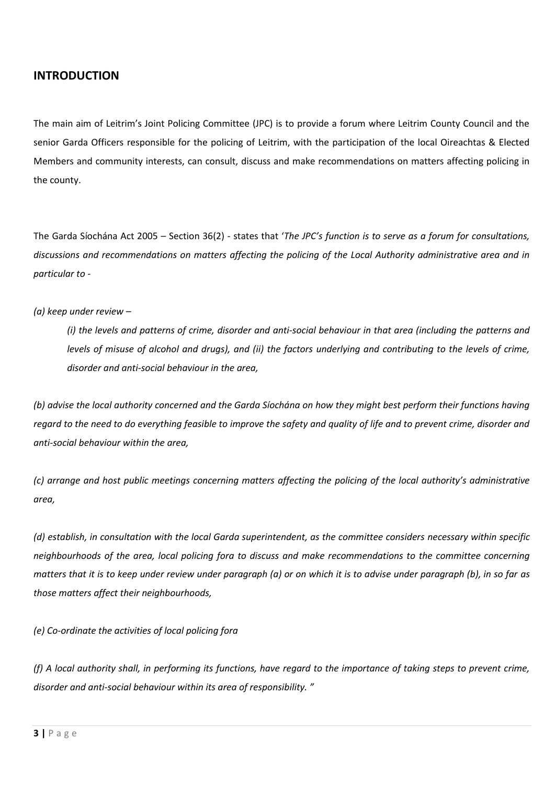### <span id="page-2-0"></span>**INTRODUCTION**

The main aim of Leitrim's Joint Policing Committee (JPC) is to provide a forum where Leitrim County Council and the senior Garda Officers responsible for the policing of Leitrim, with the participation of the local Oireachtas & Elected Members and community interests, can consult, discuss and make recommendations on matters affecting policing in the county.

The Garda Síochána Act 2005 – Section 36(2) - states that '*The JPC's function is to serve as a forum for consultations, discussions and recommendations on matters affecting the policing of the Local Authority administrative area and in particular to -* 

#### *(a) keep under review –*

*(i) the levels and patterns of crime, disorder and anti-social behaviour in that area (including the patterns and levels of misuse of alcohol and drugs), and (ii) the factors underlying and contributing to the levels of crime, disorder and anti-social behaviour in the area,* 

*(b) advise the local authority concerned and the Garda Síochána on how they might best perform their functions having regard to the need to do everything feasible to improve the safety and quality of life and to prevent crime, disorder and anti-social behaviour within the area,* 

*(c) arrange and host public meetings concerning matters affecting the policing of the local authority's administrative area,*

*(d) establish, in consultation with the local Garda superintendent, as the committee considers necessary within specific neighbourhoods of the area, local policing fora to discuss and make recommendations to the committee concerning matters that it is to keep under review under paragraph (a) or on which it is to advise under paragraph (b), in so far as those matters affect their neighbourhoods,*

*(e) Co-ordinate the activities of local policing fora*

*(f) A local authority shall, in performing its functions, have regard to the importance of taking steps to prevent crime, disorder and anti-social behaviour within its area of responsibility. "*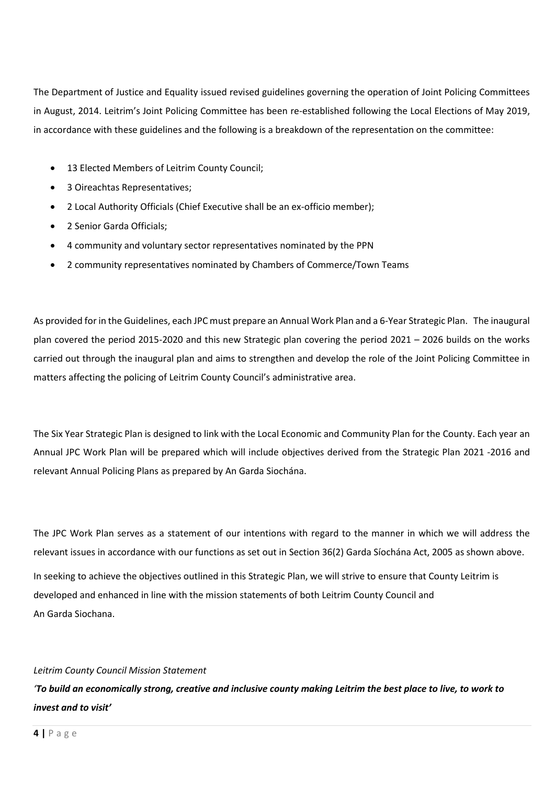The Department of Justice and Equality issued revised guidelines governing the operation of Joint Policing Committees in August, 2014. Leitrim's Joint Policing Committee has been re-established following the Local Elections of May 2019, in accordance with these guidelines and the following is a breakdown of the representation on the committee:

- 13 Elected Members of Leitrim County Council;
- 3 Oireachtas Representatives;
- 2 Local Authority Officials (Chief Executive shall be an ex-officio member);
- 2 Senior Garda Officials;
- 4 community and voluntary sector representatives nominated by the PPN
- 2 community representatives nominated by Chambers of Commerce/Town Teams

As provided for in the Guidelines, each JPC must prepare an Annual Work Plan and a 6-Year Strategic Plan. The inaugural plan covered the period 2015-2020 and this new Strategic plan covering the period 2021 – 2026 builds on the works carried out through the inaugural plan and aims to strengthen and develop the role of the Joint Policing Committee in matters affecting the policing of Leitrim County Council's administrative area.

The Six Year Strategic Plan is designed to link with the Local Economic and Community Plan for the County. Each year an Annual JPC Work Plan will be prepared which will include objectives derived from the Strategic Plan 2021 -2016 and relevant Annual Policing Plans as prepared by An Garda Siochána.

The JPC Work Plan serves as a statement of our intentions with regard to the manner in which we will address the relevant issues in accordance with our functions as set out in Section 36(2) Garda Síochána Act, 2005 as shown above. In seeking to achieve the objectives outlined in this Strategic Plan, we will strive to ensure that County Leitrim is developed and enhanced in line with the mission statements of both Leitrim County Council and An Garda Siochana.

#### *Leitrim County Council Mission Statement*

*'To build an economically strong, creative and inclusive county making Leitrim the best place to live, to work to invest and to visit'*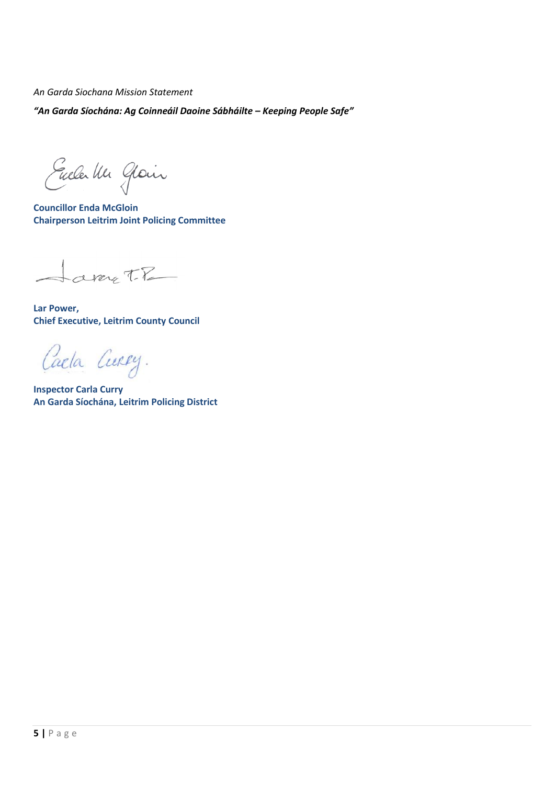*An Garda Siochana Mission Statement*

*"An Garda Síochána: Ag Coinneáil Daoine Sábháilte – Keeping People Safe"*

Eucla Un Gloin

**Councillor Enda McGloin Chairperson Leitrim Joint Policing Committee**

aray T.R

**Lar Power, Chief Executive, Leitrim County Council** 

Caela Curry.

**Inspector Carla Curry An Garda Síochána, Leitrim Policing District**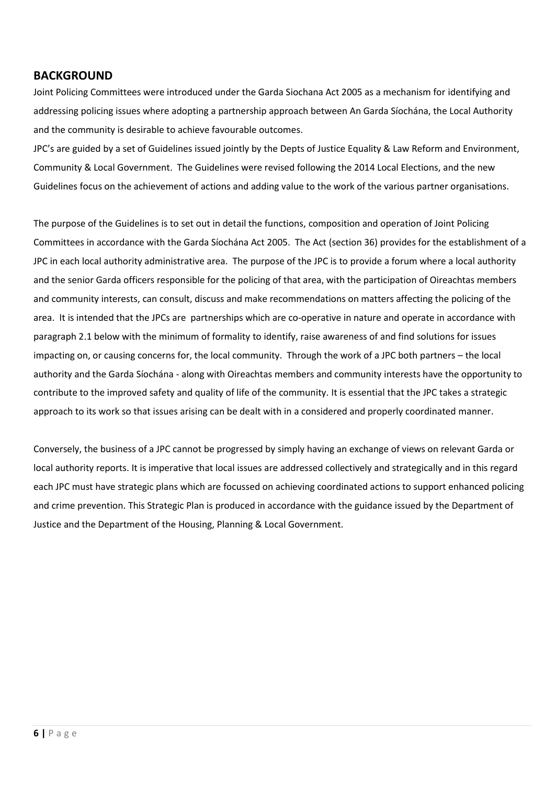## <span id="page-5-0"></span>**BACKGROUND**

Joint Policing Committees were introduced under the Garda Siochana Act 2005 as a mechanism for identifying and addressing policing issues where adopting a partnership approach between An Garda Síochána, the Local Authority and the community is desirable to achieve favourable outcomes.

JPC's are guided by a set of Guidelines issued jointly by the Depts of Justice Equality & Law Reform and Environment, Community & Local Government. The Guidelines were revised following the 2014 Local Elections, and the new Guidelines focus on the achievement of actions and adding value to the work of the various partner organisations.

The purpose of the Guidelines is to set out in detail the functions, composition and operation of Joint Policing Committees in accordance with the Garda Síochána Act 2005. The Act (section 36) provides for the establishment of a JPC in each local authority administrative area. The purpose of the JPC is to provide a forum where a local authority and the senior Garda officers responsible for the policing of that area, with the participation of Oireachtas members and community interests, can consult, discuss and make recommendations on matters affecting the policing of the area. It is intended that the JPCs are partnerships which are co-operative in nature and operate in accordance with paragraph 2.1 below with the minimum of formality to identify, raise awareness of and find solutions for issues impacting on, or causing concerns for, the local community. Through the work of a JPC both partners – the local authority and the Garda Síochána - along with Oireachtas members and community interests have the opportunity to contribute to the improved safety and quality of life of the community. It is essential that the JPC takes a strategic approach to its work so that issues arising can be dealt with in a considered and properly coordinated manner.

Conversely, the business of a JPC cannot be progressed by simply having an exchange of views on relevant Garda or local authority reports. It is imperative that local issues are addressed collectively and strategically and in this regard each JPC must have strategic plans which are focussed on achieving coordinated actions to support enhanced policing and crime prevention. This Strategic Plan is produced in accordance with the guidance issued by the Department of Justice and the Department of the Housing, Planning & Local Government.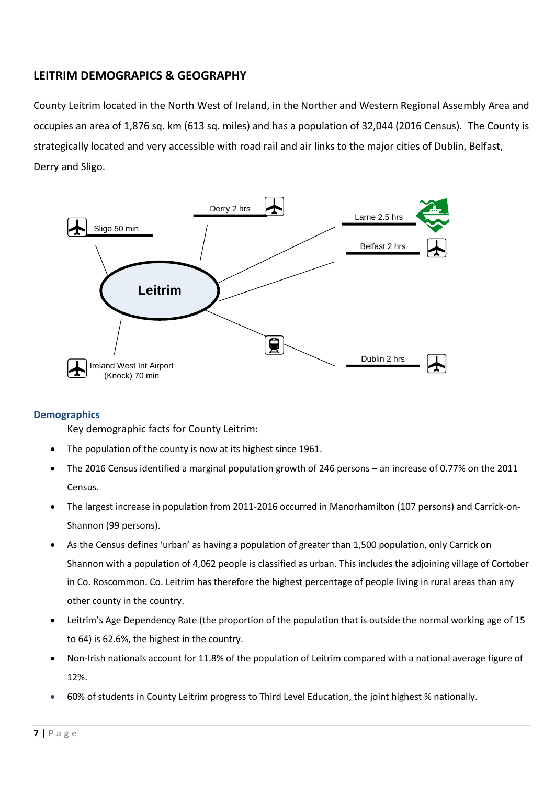# <span id="page-6-0"></span>**LEITRIM DEMOGRAPICS & GEOGRAPHY**

County Leitrim located in the North West of Ireland, in the Norther and Western Regional Assembly Area and occupies an area of 1,876 sq. km (613 sq. miles) and has a population of 32,044 (2016 Census). The County is strategically located and very accessible with road rail and air links to the major cities of Dublin, Belfast, Derry and Sligo.



### **Demographics**

Key demographic facts for County Leitrim:

- The population of the county is now at its highest since 1961.
- The 2016 Census identified a marginal population growth of 246 persons an increase of 0.77% on the 2011 Census.
- The largest increase in population from 2011-2016 occurred in Manorhamilton (107 persons) and Carrick-on-Shannon (99 persons).
- As the Census defines 'urban' as having a population of greater than 1,500 population, only Carrick on Shannon with a population of 4,062 people is classified as urban. This includes the adjoining village of Cortober in Co. Roscommon. Co. Leitrim has therefore the highest percentage of people living in rural areas than any other county in the country.
- Leitrim's Age Dependency Rate (the proportion of the population that is outside the normal working age of 15 to 64) is 62.6%, the highest in the country.
- Non-Irish nationals account for 11.8% of the population of Leitrim compared with a national average figure of 12%.
- 60% of students in County Leitrim progress to Third Level Education, the joint highest % nationally.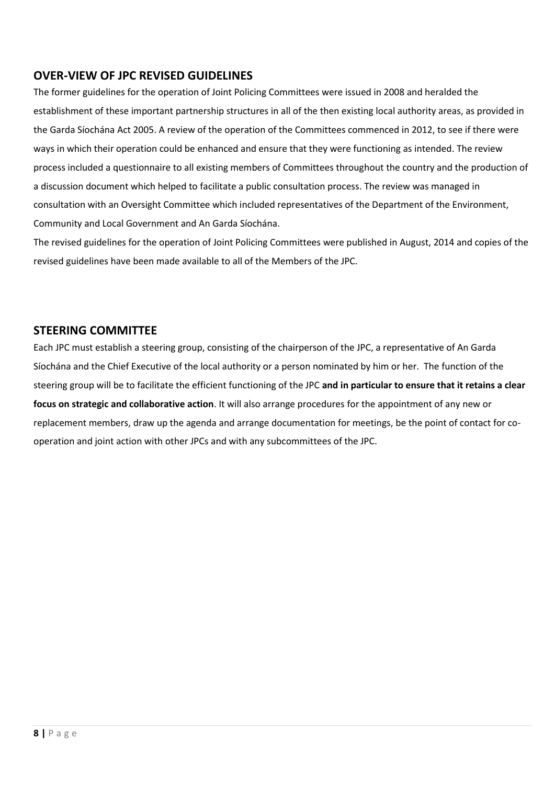# <span id="page-7-0"></span>**OVER-VIEW OF JPC REVISED GUIDELINES**

The former guidelines for the operation of Joint Policing Committees were issued in 2008 and heralded the establishment of these important partnership structures in all of the then existing local authority areas, as provided in the Garda Síochána Act 2005. A review of the operation of the Committees commenced in 2012, to see if there were ways in which their operation could be enhanced and ensure that they were functioning as intended. The review process included a questionnaire to all existing members of Committees throughout the country and the production of a discussion document which helped to facilitate a public consultation process. The review was managed in consultation with an Oversight Committee which included representatives of the Department of the Environment, Community and Local Government and An Garda Síochána.

The revised guidelines for the operation of Joint Policing Committees were published in August, 2014 and copies of the revised guidelines have been made available to all of the Members of the JPC.

# <span id="page-7-1"></span>**STEERING COMMITTEE**

Each JPC must establish a steering group, consisting of the chairperson of the JPC, a representative of An Garda Síochána and the Chief Executive of the local authority or a person nominated by him or her. The function of the steering group will be to facilitate the efficient functioning of the JPC **and in particular to ensure that it retains a clear focus on strategic and collaborative action**. It will also arrange procedures for the appointment of any new or replacement members, draw up the agenda and arrange documentation for meetings, be the point of contact for cooperation and joint action with other JPCs and with any subcommittees of the JPC.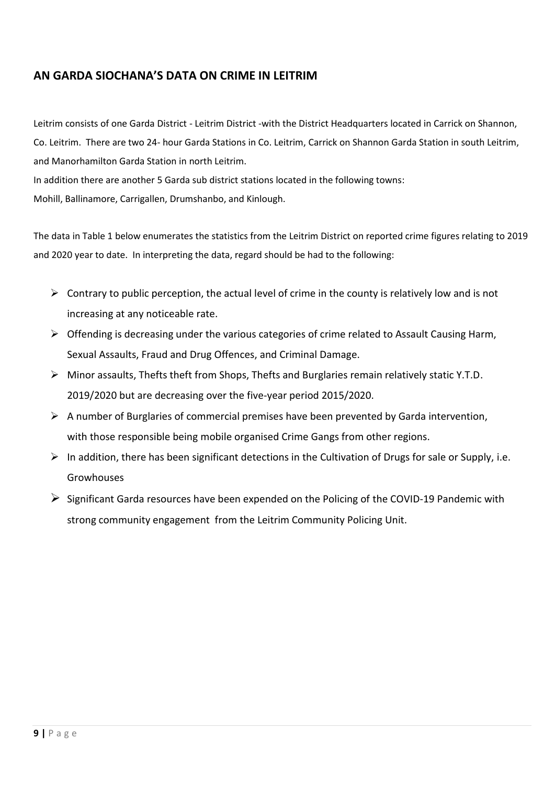# <span id="page-8-0"></span>**AN GARDA SIOCHANA'S DATA ON CRIME IN LEITRIM**

Leitrim consists of one Garda District - Leitrim District -with the District Headquarters located in Carrick on Shannon, Co. Leitrim. There are two 24- hour Garda Stations in Co. Leitrim, Carrick on Shannon Garda Station in south Leitrim, and Manorhamilton Garda Station in north Leitrim.

In addition there are another 5 Garda sub district stations located in the following towns:

Mohill, Ballinamore, Carrigallen, Drumshanbo, and Kinlough.

The data in Table 1 below enumerates the statistics from the Leitrim District on reported crime figures relating to 2019 and 2020 year to date. In interpreting the data, regard should be had to the following:

- $\triangleright$  Contrary to public perception, the actual level of crime in the county is relatively low and is not increasing at any noticeable rate.
- ➢ Offending is decreasing under the various categories of crime related to Assault Causing Harm, Sexual Assaults, Fraud and Drug Offences, and Criminal Damage.
- ➢ Minor assaults, Thefts theft from Shops, Thefts and Burglaries remain relatively static Y.T.D. 2019/2020 but are decreasing over the five-year period 2015/2020.
- ➢ A number of Burglaries of commercial premises have been prevented by Garda intervention, with those responsible being mobile organised Crime Gangs from other regions.
- $\triangleright$  In addition, there has been significant detections in the Cultivation of Drugs for sale or Supply, i.e. Growhouses
- $\triangleright$  Significant Garda resources have been expended on the Policing of the COVID-19 Pandemic with strong community engagement from the Leitrim Community Policing Unit.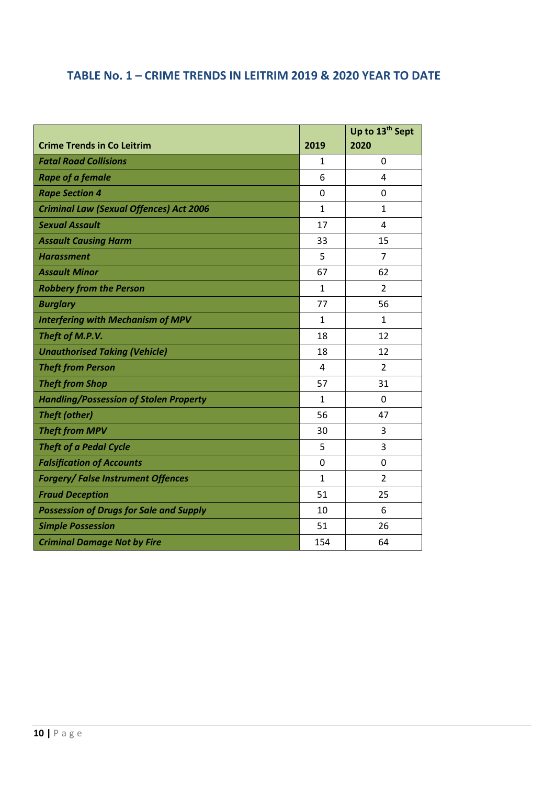# **TABLE No. 1 – CRIME TRENDS IN LEITRIM 2019 & 2020 YEAR TO DATE**

|                                                |              | Up to 13 <sup>th</sup> Sept |
|------------------------------------------------|--------------|-----------------------------|
| <b>Crime Trends in Co Leitrim</b>              | 2019         | 2020                        |
| <b>Fatal Road Collisions</b>                   | $\mathbf{1}$ | 0                           |
| <b>Rape of a female</b>                        | 6            | 4                           |
| <b>Rape Section 4</b>                          | $\mathbf 0$  | 0                           |
| <b>Criminal Law (Sexual Offences) Act 2006</b> | $\mathbf{1}$ | $\mathbf{1}$                |
| <b>Sexual Assault</b>                          | 17           | 4                           |
| <b>Assault Causing Harm</b>                    | 33           | 15                          |
| <b>Harassment</b>                              | 5            | $\overline{7}$              |
| <b>Assault Minor</b>                           | 67           | 62                          |
| <b>Robbery from the Person</b>                 | $\mathbf{1}$ | $\overline{2}$              |
| <b>Burglary</b>                                | 77           | 56                          |
| <b>Interfering with Mechanism of MPV</b>       | $\mathbf{1}$ | $\mathbf{1}$                |
| Theft of M.P.V.                                | 18           | 12                          |
| <b>Unauthorised Taking (Vehicle)</b>           | 18           | 12                          |
| <b>Theft from Person</b>                       | 4            | $\overline{2}$              |
| <b>Theft from Shop</b>                         | 57           | 31                          |
| <b>Handling/Possession of Stolen Property</b>  | $\mathbf{1}$ | 0                           |
| <b>Theft (other)</b>                           | 56           | 47                          |
| <b>Theft from MPV</b>                          | 30           | 3                           |
| <b>Theft of a Pedal Cycle</b>                  | 5            | 3                           |
| <b>Falsification of Accounts</b>               | 0            | 0                           |
| <b>Forgery/ False Instrument Offences</b>      | $\mathbf{1}$ | $\overline{2}$              |
| <b>Fraud Deception</b>                         | 51           | 25                          |
| <b>Possession of Drugs for Sale and Supply</b> | 10           | 6                           |
| <b>Simple Possession</b>                       | 51           | 26                          |
| <b>Criminal Damage Not by Fire</b>             | 154          | 64                          |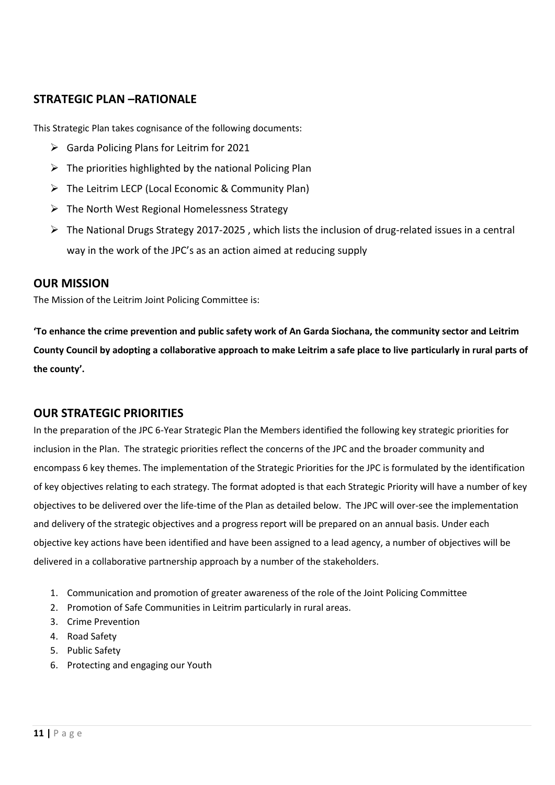## <span id="page-10-0"></span>**STRATEGIC PLAN –RATIONALE**

This Strategic Plan takes cognisance of the following documents:

- ➢ Garda Policing Plans for Leitrim for 2021
- $\triangleright$  The priorities highlighted by the national Policing Plan
- ➢ The Leitrim LECP (Local Economic & Community Plan)
- $\triangleright$  The North West Regional Homelessness Strategy
- ➢ The National Drugs Strategy 2017-2025 , which lists the inclusion of drug-related issues in a central way in the work of the JPC's as an action aimed at reducing supply

### <span id="page-10-1"></span>**OUR MISSION**

The Mission of the Leitrim Joint Policing Committee is:

**'To enhance the crime prevention and public safety work of An Garda Siochana, the community sector and Leitrim County Council by adopting a collaborative approach to make Leitrim a safe place to live particularly in rural parts of the county'.**

### <span id="page-10-2"></span>**OUR STRATEGIC PRIORITIES**

In the preparation of the JPC 6-Year Strategic Plan the Members identified the following key strategic priorities for inclusion in the Plan. The strategic priorities reflect the concerns of the JPC and the broader community and encompass 6 key themes. The implementation of the Strategic Priorities for the JPC is formulated by the identification of key objectives relating to each strategy. The format adopted is that each Strategic Priority will have a number of key objectives to be delivered over the life-time of the Plan as detailed below. The JPC will over-see the implementation and delivery of the strategic objectives and a progress report will be prepared on an annual basis. Under each objective key actions have been identified and have been assigned to a lead agency, a number of objectives will be delivered in a collaborative partnership approach by a number of the stakeholders.

- 1. Communication and promotion of greater awareness of the role of the Joint Policing Committee
- 2. Promotion of Safe Communities in Leitrim particularly in rural areas.
- 3. Crime Prevention
- 4. Road Safety
- 5. Public Safety
- 6. Protecting and engaging our Youth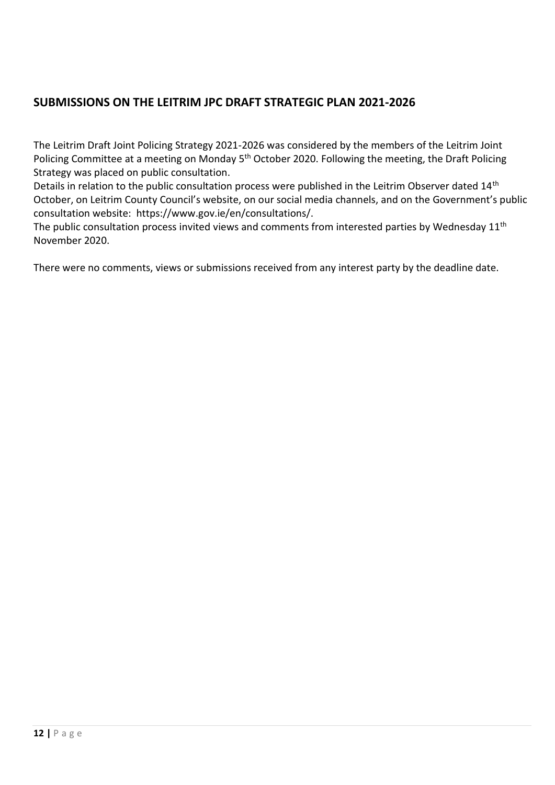# <span id="page-11-0"></span>**SUBMISSIONS ON THE LEITRIM JPC DRAFT STRATEGIC PLAN 2021-2026**

The Leitrim Draft Joint Policing Strategy 2021-2026 was considered by the members of the Leitrim Joint Policing Committee at a meeting on Monday 5<sup>th</sup> October 2020. Following the meeting, the Draft Policing Strategy was placed on public consultation.

Details in relation to the public consultation process were published in the Leitrim Observer dated 14<sup>th</sup> October, on Leitrim County Council's website, on our social media channels, and on the Government's public consultation website: https://www.gov.ie/en/consultations/.

The public consultation process invited views and comments from interested parties by Wednesday 11<sup>th</sup> November 2020.

There were no comments, views or submissions received from any interest party by the deadline date.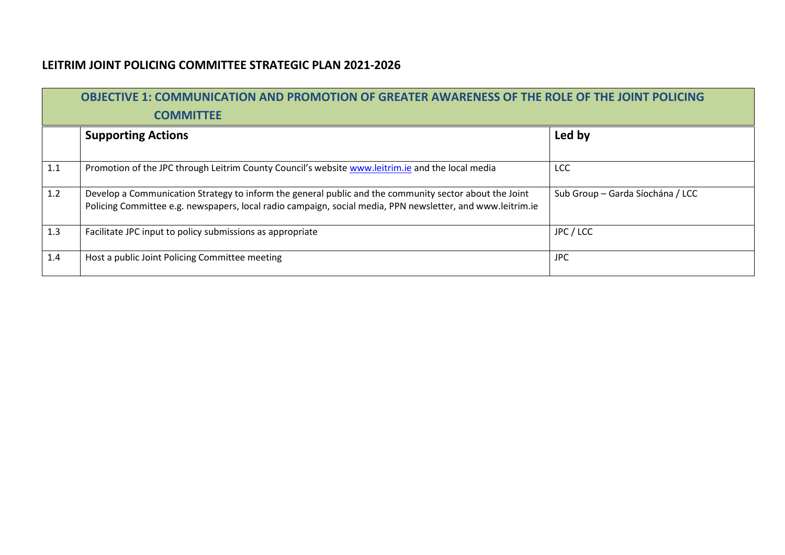# **LEITRIM JOINT POLICING COMMITTEE STRATEGIC PLAN 2021-2026**

<span id="page-12-0"></span>

|     | <b>OBJECTIVE 1: COMMUNICATION AND PROMOTION OF GREATER AWARENESS OF THE ROLE OF THE JOINT POLICING</b><br><b>COMMITTEE</b>                                                                                           |                                  |  |  |
|-----|----------------------------------------------------------------------------------------------------------------------------------------------------------------------------------------------------------------------|----------------------------------|--|--|
|     | <b>Supporting Actions</b>                                                                                                                                                                                            | Led by                           |  |  |
| 1.1 | Promotion of the JPC through Leitrim County Council's website www.leitrim.ie and the local media                                                                                                                     | <b>LCC</b>                       |  |  |
| 1.2 | Develop a Communication Strategy to inform the general public and the community sector about the Joint<br>Policing Committee e.g. newspapers, local radio campaign, social media, PPN newsletter, and www.leitrim.ie | Sub Group - Garda Síochána / LCC |  |  |
| 1.3 | Facilitate JPC input to policy submissions as appropriate                                                                                                                                                            | JPC / LCC                        |  |  |
| 1.4 | Host a public Joint Policing Committee meeting                                                                                                                                                                       | JPC.                             |  |  |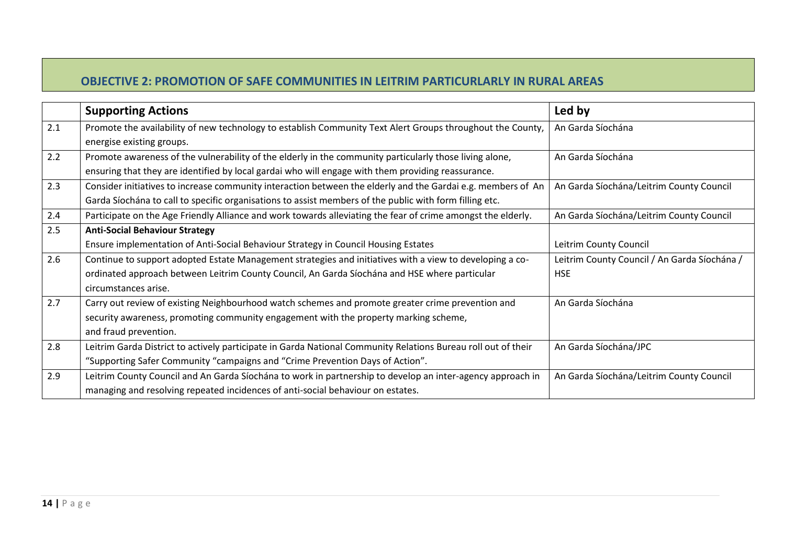# **OBJECTIVE 2: PROMOTION OF SAFE COMMUNITIES IN LEITRIM PARTICURLARLY IN RURAL AREAS**

|     | <b>Supporting Actions</b>                                                                                     | Led by                                       |
|-----|---------------------------------------------------------------------------------------------------------------|----------------------------------------------|
| 2.1 | Promote the availability of new technology to establish Community Text Alert Groups throughout the County,    | An Garda Síochána                            |
|     | energise existing groups.                                                                                     |                                              |
| 2.2 | Promote awareness of the vulnerability of the elderly in the community particularly those living alone,       | An Garda Síochána                            |
|     | ensuring that they are identified by local gardai who will engage with them providing reassurance.            |                                              |
| 2.3 | Consider initiatives to increase community interaction between the elderly and the Gardai e.g. members of An  | An Garda Síochána/Leitrim County Council     |
|     | Garda Síochána to call to specific organisations to assist members of the public with form filling etc.       |                                              |
| 2.4 | Participate on the Age Friendly Alliance and work towards alleviating the fear of crime amongst the elderly.  | An Garda Síochána/Leitrim County Council     |
| 2.5 | <b>Anti-Social Behaviour Strategy</b>                                                                         |                                              |
|     | Ensure implementation of Anti-Social Behaviour Strategy in Council Housing Estates                            | Leitrim County Council                       |
| 2.6 | Continue to support adopted Estate Management strategies and initiatives with a view to developing a co-      | Leitrim County Council / An Garda Síochána / |
|     | ordinated approach between Leitrim County Council, An Garda Síochána and HSE where particular                 | <b>HSE</b>                                   |
|     | circumstances arise.                                                                                          |                                              |
| 2.7 | Carry out review of existing Neighbourhood watch schemes and promote greater crime prevention and             | An Garda Síochána                            |
|     | security awareness, promoting community engagement with the property marking scheme,                          |                                              |
|     | and fraud prevention.                                                                                         |                                              |
| 2.8 | Leitrim Garda District to actively participate in Garda National Community Relations Bureau roll out of their | An Garda Síochána/JPC                        |
|     | "Supporting Safer Community "campaigns and "Crime Prevention Days of Action".                                 |                                              |
| 2.9 | Leitrim County Council and An Garda Síochána to work in partnership to develop an inter-agency approach in    | An Garda Síochána/Leitrim County Council     |
|     | managing and resolving repeated incidences of anti-social behaviour on estates.                               |                                              |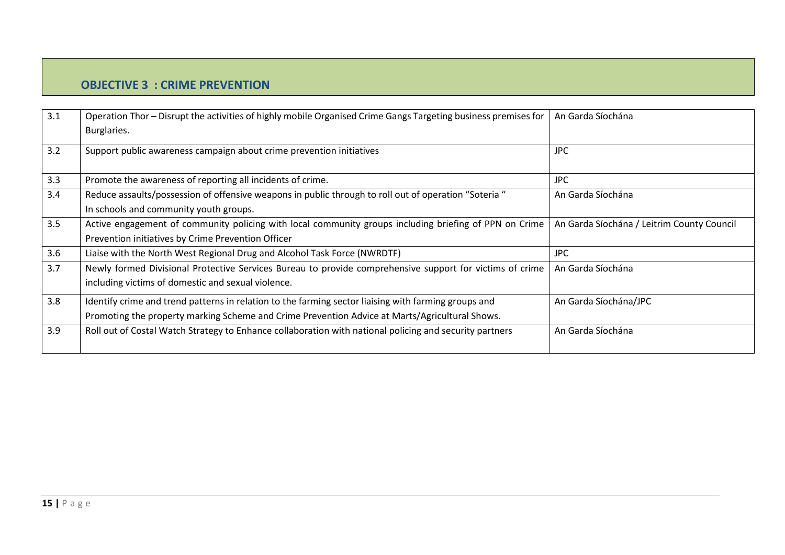# **OBJECTIVE 3 : CRIME PREVENTION**

| 3.1 | Operation Thor - Disrupt the activities of highly mobile Organised Crime Gangs Targeting business premises for<br>Burglaries. | An Garda Síochána                          |
|-----|-------------------------------------------------------------------------------------------------------------------------------|--------------------------------------------|
| 3.2 | Support public awareness campaign about crime prevention initiatives                                                          | <b>JPC</b>                                 |
| 3.3 | Promote the awareness of reporting all incidents of crime.                                                                    | <b>JPC</b>                                 |
| 3.4 | Reduce assaults/possession of offensive weapons in public through to roll out of operation "Soteria "                         | An Garda Síochána                          |
|     | In schools and community youth groups.                                                                                        |                                            |
| 3.5 | Active engagement of community policing with local community groups including briefing of PPN on Crime                        | An Garda Síochána / Leitrim County Council |
|     | Prevention initiatives by Crime Prevention Officer                                                                            |                                            |
| 3.6 | Liaise with the North West Regional Drug and Alcohol Task Force (NWRDTF)                                                      | <b>JPC</b>                                 |
| 3.7 | Newly formed Divisional Protective Services Bureau to provide comprehensive support for victims of crime                      | An Garda Síochána                          |
|     | including victims of domestic and sexual violence.                                                                            |                                            |
| 3.8 | Identify crime and trend patterns in relation to the farming sector liaising with farming groups and                          | An Garda Síochána/JPC                      |
|     | Promoting the property marking Scheme and Crime Prevention Advice at Marts/Agricultural Shows.                                |                                            |
| 3.9 | Roll out of Costal Watch Strategy to Enhance collaboration with national policing and security partners                       | An Garda Síochána                          |
|     |                                                                                                                               |                                            |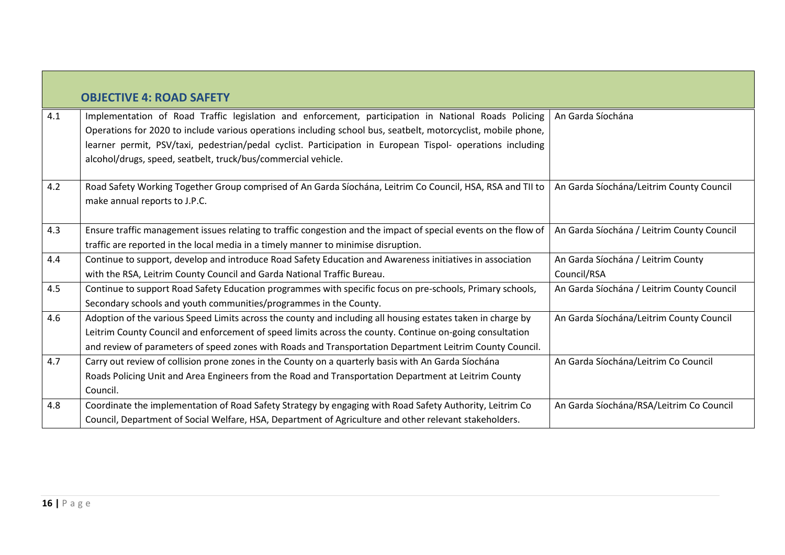| 4.1 | <b>OBJECTIVE 4: ROAD SAFETY</b><br>Implementation of Road Traffic legislation and enforcement, participation in National Roads Policing<br>Operations for 2020 to include various operations including school bus, seatbelt, motorcyclist, mobile phone, | An Garda Síochána                          |
|-----|----------------------------------------------------------------------------------------------------------------------------------------------------------------------------------------------------------------------------------------------------------|--------------------------------------------|
|     | learner permit, PSV/taxi, pedestrian/pedal cyclist. Participation in European Tispol- operations including<br>alcohol/drugs, speed, seatbelt, truck/bus/commercial vehicle.                                                                              |                                            |
| 4.2 | Road Safety Working Together Group comprised of An Garda Síochána, Leitrim Co Council, HSA, RSA and TII to<br>make annual reports to J.P.C.                                                                                                              | An Garda Síochána/Leitrim County Council   |
| 4.3 | Ensure traffic management issues relating to traffic congestion and the impact of special events on the flow of<br>traffic are reported in the local media in a timely manner to minimise disruption.                                                    | An Garda Síochána / Leitrim County Council |
| 4.4 | Continue to support, develop and introduce Road Safety Education and Awareness initiatives in association                                                                                                                                                | An Garda Síochána / Leitrim County         |
|     | with the RSA, Leitrim County Council and Garda National Traffic Bureau.                                                                                                                                                                                  | Council/RSA                                |
| 4.5 | Continue to support Road Safety Education programmes with specific focus on pre-schools, Primary schools,                                                                                                                                                | An Garda Síochána / Leitrim County Council |
|     | Secondary schools and youth communities/programmes in the County.                                                                                                                                                                                        |                                            |
| 4.6 | Adoption of the various Speed Limits across the county and including all housing estates taken in charge by                                                                                                                                              | An Garda Síochána/Leitrim County Council   |
|     | Leitrim County Council and enforcement of speed limits across the county. Continue on-going consultation                                                                                                                                                 |                                            |
|     | and review of parameters of speed zones with Roads and Transportation Department Leitrim County Council.                                                                                                                                                 |                                            |
| 4.7 | Carry out review of collision prone zones in the County on a quarterly basis with An Garda Síochána                                                                                                                                                      | An Garda Síochána/Leitrim Co Council       |
|     | Roads Policing Unit and Area Engineers from the Road and Transportation Department at Leitrim County                                                                                                                                                     |                                            |
|     | Council.                                                                                                                                                                                                                                                 |                                            |
| 4.8 | Coordinate the implementation of Road Safety Strategy by engaging with Road Safety Authority, Leitrim Co                                                                                                                                                 | An Garda Síochána/RSA/Leitrim Co Council   |
|     | Council, Department of Social Welfare, HSA, Department of Agriculture and other relevant stakeholders.                                                                                                                                                   |                                            |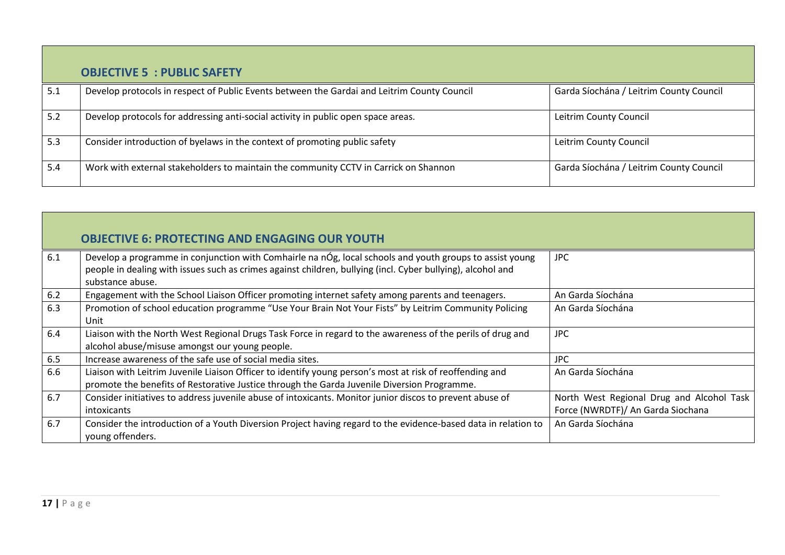|     | <b>OBJECTIVE 5 : PUBLIC SAFETY</b>                                                          |                                         |
|-----|---------------------------------------------------------------------------------------------|-----------------------------------------|
| 5.1 | Develop protocols in respect of Public Events between the Gardai and Leitrim County Council | Garda Síochána / Leitrim County Council |
| 5.2 | Develop protocols for addressing anti-social activity in public open space areas.           | Leitrim County Council                  |
| 5.3 | Consider introduction of byelaws in the context of promoting public safety                  | Leitrim County Council                  |
| 5.4 | Work with external stakeholders to maintain the community CCTV in Carrick on Shannon        | Garda Síochána / Leitrim County Council |

|     | <b>OBJECTIVE 6: PROTECTING AND ENGAGING OUR YOUTH</b>                                                                                                                                                                                       |                                                                                |
|-----|---------------------------------------------------------------------------------------------------------------------------------------------------------------------------------------------------------------------------------------------|--------------------------------------------------------------------------------|
| 6.1 | Develop a programme in conjunction with Comhairle na nÓg, local schools and youth groups to assist young<br>people in dealing with issues such as crimes against children, bullying (incl. Cyber bullying), alcohol and<br>substance abuse. | JPC                                                                            |
| 6.2 | Engagement with the School Liaison Officer promoting internet safety among parents and teenagers.                                                                                                                                           | An Garda Síochána                                                              |
| 6.3 | Promotion of school education programme "Use Your Brain Not Your Fists" by Leitrim Community Policing<br>Unit                                                                                                                               | An Garda Síochána                                                              |
| 6.4 | Liaison with the North West Regional Drugs Task Force in regard to the awareness of the perils of drug and<br>alcohol abuse/misuse amongst our young people.                                                                                | <b>JPC</b>                                                                     |
| 6.5 | Increase awareness of the safe use of social media sites.                                                                                                                                                                                   | JPC                                                                            |
| 6.6 | Liaison with Leitrim Juvenile Liaison Officer to identify young person's most at risk of reoffending and<br>promote the benefits of Restorative Justice through the Garda Juvenile Diversion Programme.                                     | An Garda Síochána                                                              |
| 6.7 | Consider initiatives to address juvenile abuse of intoxicants. Monitor junior discos to prevent abuse of<br><i>intoxicants</i>                                                                                                              | North West Regional Drug and Alcohol Task<br>Force (NWRDTF)/ An Garda Siochana |
| 6.7 | Consider the introduction of a Youth Diversion Project having regard to the evidence-based data in relation to<br>young offenders.                                                                                                          | An Garda Síochána                                                              |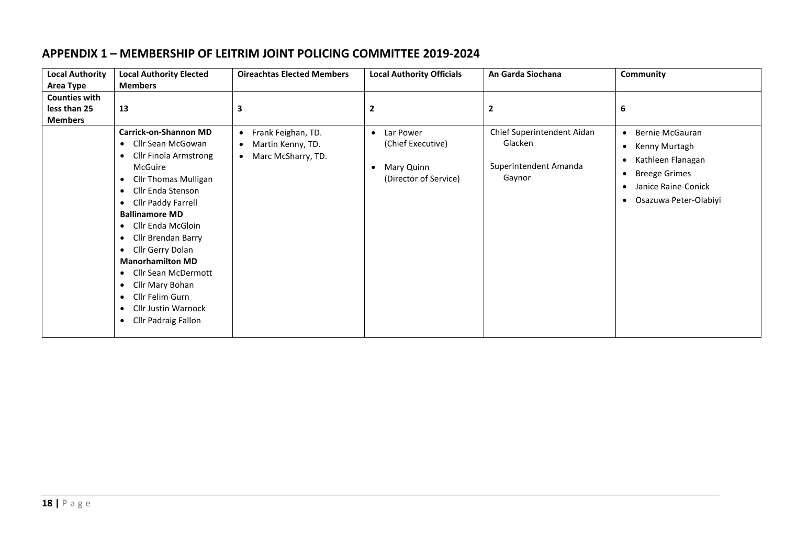# **APPENDIX 1 – MEMBERSHIP OF LEITRIM JOINT POLICING COMMITTEE 2019-2024**

<span id="page-17-0"></span>

| <b>Local Authority</b> | <b>Local Authority Elected</b>           | <b>Oireachtas Elected Members</b> | <b>Local Authority Officials</b> | An Garda Siochana          | Community                          |
|------------------------|------------------------------------------|-----------------------------------|----------------------------------|----------------------------|------------------------------------|
| Area Type              | <b>Members</b>                           |                                   |                                  |                            |                                    |
| <b>Counties with</b>   |                                          |                                   |                                  |                            |                                    |
| less than 25           | 13                                       | 3                                 | 2                                | $\mathbf{2}$               | 6                                  |
| <b>Members</b>         |                                          |                                   |                                  |                            |                                    |
|                        | <b>Carrick-on-Shannon MD</b>             | • Frank Feighan, TD.              | Lar Power<br>$\bullet$           | Chief Superintendent Aidan | Bernie McGauran<br>$\bullet$       |
|                        | Cllr Sean McGowan<br>$\bullet$           | • Martin Kenny, TD.               | (Chief Executive)                | Glacken                    | Kenny Murtagh<br>$\bullet$         |
|                        | Cllr Finola Armstrong<br>$\bullet$       | • Marc McSharry, TD.              |                                  |                            | Kathleen Flanagan<br>$\bullet$     |
|                        | McGuire                                  |                                   | Mary Quinn<br>$\bullet$          | Superintendent Amanda      | <b>Breege Grimes</b><br>$\bullet$  |
|                        | <b>Cllr Thomas Mulligan</b><br>$\bullet$ |                                   | (Director of Service)            | Gaynor                     | Janice Raine-Conick<br>$\bullet$   |
|                        | Cllr Enda Stenson<br>$\bullet$           |                                   |                                  |                            |                                    |
|                        | Cllr Paddy Farrell<br>$\bullet$          |                                   |                                  |                            | Osazuwa Peter-Olabiyi<br>$\bullet$ |
|                        | <b>Ballinamore MD</b>                    |                                   |                                  |                            |                                    |
|                        | Cllr Enda McGloin<br>$\bullet$           |                                   |                                  |                            |                                    |
|                        | Cllr Brendan Barry<br>$\bullet$          |                                   |                                  |                            |                                    |
|                        | Cllr Gerry Dolan<br>$\bullet$            |                                   |                                  |                            |                                    |
|                        | <b>Manorhamilton MD</b>                  |                                   |                                  |                            |                                    |
|                        | Cllr Sean McDermott<br>$\bullet$         |                                   |                                  |                            |                                    |
|                        | Cllr Mary Bohan<br>٠                     |                                   |                                  |                            |                                    |
|                        | Cllr Felim Gurn<br>$\bullet$             |                                   |                                  |                            |                                    |
|                        | <b>Cllr Justin Warnock</b><br>٠          |                                   |                                  |                            |                                    |
|                        | <b>Cllr Padraig Fallon</b><br>٠          |                                   |                                  |                            |                                    |
|                        |                                          |                                   |                                  |                            |                                    |